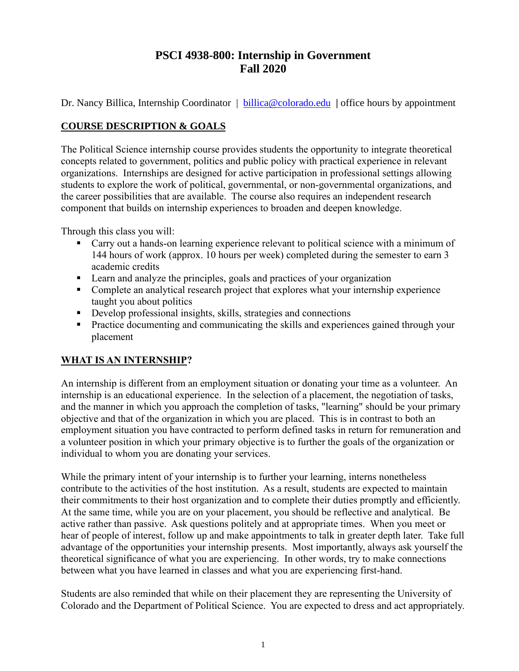# **PSCI 4938-800: Internship in Government Fall 2020**

Dr. Nancy Billica, Internship Coordinator | [billica@colorado.edu](mailto:billica@colorado.edu) | office hours by appointment

#### **COURSE DESCRIPTION & GOALS**

The Political Science internship course provides students the opportunity to integrate theoretical concepts related to government, politics and public policy with practical experience in relevant organizations. Internships are designed for active participation in professional settings allowing students to explore the work of political, governmental, or non-governmental organizations, and the career possibilities that are available. The course also requires an independent research component that builds on internship experiences to broaden and deepen knowledge.

Through this class you will:

- Carry out a hands-on learning experience relevant to political science with a minimum of 144 hours of work (approx. 10 hours per week) completed during the semester to earn 3 academic credits
- Learn and analyze the principles, goals and practices of your organization
- Complete an analytical research project that explores what your internship experience taught you about politics
- **•** Develop professional insights, skills, strategies and connections
- **•** Practice documenting and communicating the skills and experiences gained through your placement

## **WHAT IS AN INTERNSHIP?**

An internship is different from an employment situation or donating your time as a volunteer. An internship is an educational experience. In the selection of a placement, the negotiation of tasks, and the manner in which you approach the completion of tasks, "learning" should be your primary objective and that of the organization in which you are placed. This is in contrast to both an employment situation you have contracted to perform defined tasks in return for remuneration and a volunteer position in which your primary objective is to further the goals of the organization or individual to whom you are donating your services.

While the primary intent of your internship is to further your learning, interns nonetheless contribute to the activities of the host institution. As a result, students are expected to maintain their commitments to their host organization and to complete their duties promptly and efficiently. At the same time, while you are on your placement, you should be reflective and analytical. Be active rather than passive. Ask questions politely and at appropriate times. When you meet or hear of people of interest, follow up and make appointments to talk in greater depth later. Take full advantage of the opportunities your internship presents. Most importantly, always ask yourself the theoretical significance of what you are experiencing. In other words, try to make connections between what you have learned in classes and what you are experiencing first-hand.

Students are also reminded that while on their placement they are representing the University of Colorado and the Department of Political Science. You are expected to dress and act appropriately.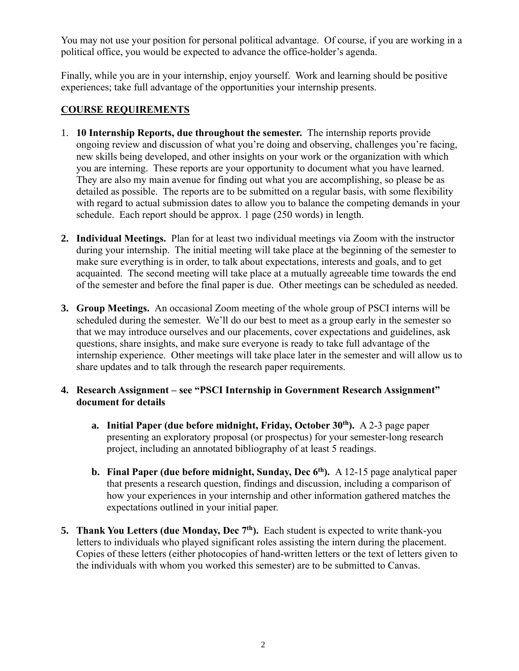You may not use your position for personal political advantage. Of course, if you are working in a political office, you would be expected to advance the office-holder's agenda.

Finally, while you are in your internship, enjoy yourself. Work and learning should be positive experiences; take full advantage of the opportunities your internship presents.

#### **COURSE REQUIREMENTS**

- 1. **10 Internship Reports, due throughout the semester.** The internship reports provide ongoing review and discussion of what you're doing and observing, challenges you're facing, new skills being developed, and other insights on your work or the organization with which you are interning. These reports are your opportunity to document what you have learned. They are also my main avenue for finding out what you are accomplishing, so please be as detailed as possible. The reports are to be submitted on a regular basis, with some flexibility with regard to actual submission dates to allow you to balance the competing demands in your schedule. Each report should be approx. 1 page (250 words) in length.
- **2. Individual Meetings.** Plan for at least two individual meetings via Zoom with the instructor during your internship. The initial meeting will take place at the beginning of the semester to make sure everything is in order, to talk about expectations, interests and goals, and to get acquainted. The second meeting will take place at a mutually agreeable time towards the end of the semester and before the final paper is due. Other meetings can be scheduled as needed.
- **3. Group Meetings.** An occasional Zoom meeting of the whole group of PSCI interns will be scheduled during the semester. We'll do our best to meet as a group early in the semester so that we may introduce ourselves and our placements, cover expectations and guidelines, ask questions, share insights, and make sure everyone is ready to take full advantage of the internship experience. Other meetings will take place later in the semester and will allow us to share updates and to talk through the research paper requirements.
- **4. Research Assignment – see "PSCI Internship in Government Research Assignment" document for details**
	- **a. Initial Paper (due before midnight, Friday, October 30th).** A 2-3 page paper presenting an exploratory proposal (or prospectus) for your semester-long research project, including an annotated bibliography of at least 5 readings.
	- **b. Final Paper (due before midnight, Sunday, Dec 6 th).** A 12-15 page analytical paper that presents a research question, findings and discussion, including a comparison of how your experiences in your internship and other information gathered matches the expectations outlined in your initial paper.
- **5. Thank You Letters (due Monday, Dec 7th).** Each student is expected to write thank-you letters to individuals who played significant roles assisting the intern during the placement. Copies of these letters (either photocopies of hand-written letters or the text of letters given to the individuals with whom you worked this semester) are to be submitted to Canvas.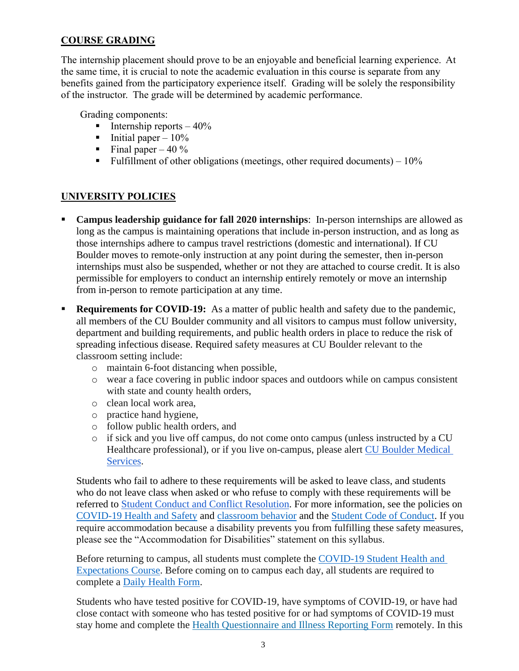## **COURSE GRADING**

The internship placement should prove to be an enjoyable and beneficial learning experience. At the same time, it is crucial to note the academic evaluation in this course is separate from any benefits gained from the participatory experience itself. Grading will be solely the responsibility of the instructor. The grade will be determined by academic performance.

Grading components:

- **•** Internship reports  $-40\%$
- **•** Initial paper  $-10\%$
- $\blacksquare$  Final paper 40 %
- **•** Fulfillment of other obligations (meetings, other required documents)  $-10\%$

# **UNIVERSITY POLICIES**

- **Campus leadership guidance for fall 2020 internships**: In-person internships are allowed as long as the campus is maintaining operations that include in-person instruction, and as long as those internships adhere to campus travel restrictions (domestic and international). If CU Boulder moves to remote-only instruction at any point during the semester, then in-person internships must also be suspended, whether or not they are attached to course credit. It is also permissible for employers to conduct an internship entirely remotely or move an internship from in-person to remote participation at any time.
- **Requirements for COVID-19:** As a matter of public health and safety due to the pandemic, all members of the CU Boulder community and all visitors to campus must follow university, department and building requirements, and public health orders in place to reduce the risk of spreading infectious disease. Required safety measures at CU Boulder relevant to the classroom setting include:
	- o maintain 6-foot distancing when possible,
	- o wear a face covering in public indoor spaces and outdoors while on campus consistent with state and county health orders,
	- o clean local work area,
	- o practice hand hygiene,
	- o follow public health orders, and
	- o if sick and you live off campus, do not come onto campus (unless instructed by a CU Healthcare professional), or if you live on-campus, please alert [CU Boulder Medical](https://www.colorado.edu/healthcenter/coronavirus-updates/symptoms-and-what-do-if-you-feel-sick)  [Services.](https://www.colorado.edu/healthcenter/coronavirus-updates/symptoms-and-what-do-if-you-feel-sick)

Students who fail to adhere to these requirements will be asked to leave class, and students who do not leave class when asked or who refuse to comply with these requirements will be referred to [Student Conduct and Conflict Resolution.](https://www.colorado.edu/sccr/) For more information, see the policies on [COVID-19 Health and Safety](https://www.colorado.edu/policies/covid-19-health-and-safety-policy) and [classroom behavior](http://www.colorado.edu/policies/student-classroom-and-course-related-behavior) and the [Student Code of Conduct.](http://www.colorado.edu/osccr/) If you require accommodation because a disability prevents you from fulfilling these safety measures, please see the "Accommodation for Disabilities" statement on this syllabus.

Before returning to campus, all students must complete the [COVID-19 Student Health and](https://www.colorado.edu/protect-our-herd/how#anchor1)  [Expectations Course.](https://www.colorado.edu/protect-our-herd/how#anchor1) Before coming on to campus each day, all students are required to complete a [Daily Health Form.](https://www.colorado.edu/protect-our-herd/daily-health-form)

Students who have tested positive for COVID-19, have symptoms of COVID-19, or have had close contact with someone who has tested positive for or had symptoms of COVID-19 must stay home and complete the [Health Questionnaire and Illness Reporting Form](https://www.colorado.edu/protect-our-herd/daily-health-form) remotely. In this